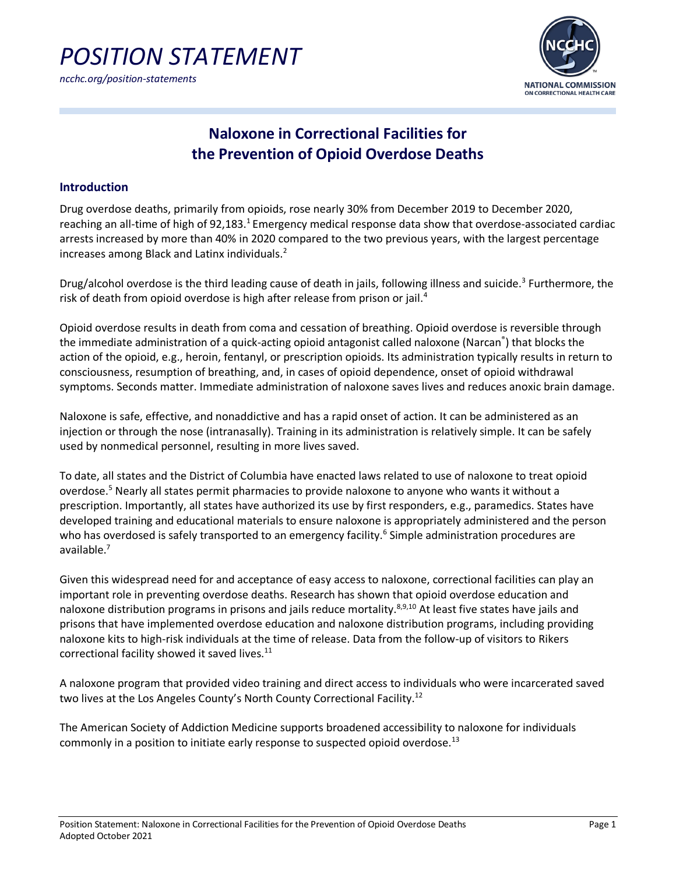



### *ncchc.org/position-statements*

## **Naloxone in Correctional Facilities for the Prevention of Opioid Overdose Deaths**

### **Introduction**

Drug overdose deaths, primarily from opioids, rose nearly 30% from December 2019 to December 2020, reaching an all-time of high of 92,183.<sup>1</sup> Emergency medical response data show that overdose-associated cardiac arrests increased by more than 40% in 2020 compared to the two previous years, with the largest percentage increases among Black and Latinx individuals.2

Drug/alcohol overdose is the third leading cause of death in jails, following illness and suicide.<sup>3</sup> Furthermore, the risk of death from opioid overdose is high after release from prison or jail.<sup>4</sup>

Opioid overdose results in death from coma and cessation of breathing. Opioid overdose is reversible through the immediate administration of a quick-acting opioid antagonist called naloxone (Narcan<sup>®</sup>) that blocks the action of the opioid, e.g., heroin, fentanyl, or prescription opioids. Its administration typically results in return to consciousness, resumption of breathing, and, in cases of opioid dependence, onset of opioid withdrawal symptoms. Seconds matter. Immediate administration of naloxone saves lives and reduces anoxic brain damage.

Naloxone is safe, effective, and nonaddictive and has a rapid onset of action. It can be administered as an injection or through the nose (intranasally). Training in its administration is relatively simple. It can be safely used by nonmedical personnel, resulting in more lives saved.

To date, all states and the District of Columbia have enacted laws related to use of naloxone to treat opioid overdose.<sup>5</sup> Nearly all states permit pharmacies to provide naloxone to anyone who wants it without a prescription. Importantly, all states have authorized its use by first responders, e.g., paramedics. States have developed training and educational materials to ensure naloxone is appropriately administered and the person who has overdosed is safely transported to an emergency facility.<sup>6</sup> Simple administration procedures are available.7

Given this widespread need for and acceptance of easy access to naloxone, correctional facilities can play an important role in preventing overdose deaths. Research has shown that opioid overdose education and naloxone distribution programs in prisons and jails reduce mortality.<sup>8,9,10</sup> At least five states have jails and prisons that have implemented overdose education and naloxone distribution programs, including providing naloxone kits to high-risk individuals at the time of release. Data from the follow-up of visitors to Rikers correctional facility showed it saved lives.<sup>11</sup>

A naloxone program that provided video training and direct access to individuals who were incarcerated saved two lives at the Los Angeles County's North County Correctional Facility.<sup>12</sup>

The American Society of Addiction Medicine supports broadened accessibility to naloxone for individuals commonly in a position to initiate early response to suspected opioid overdose.<sup>13</sup>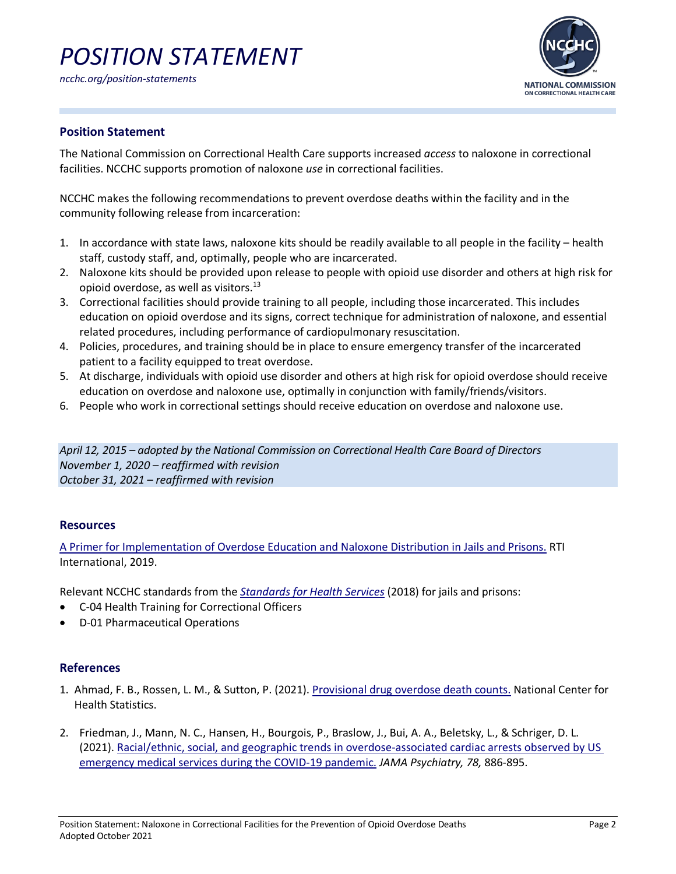# *POSITION STATEMENT*



### **Position Statement**

The National Commission on Correctional Health Care supports increased *access* to naloxone in correctional facilities. NCCHC supports promotion of naloxone *use* in correctional facilities.

NCCHC makes the following recommendations to prevent overdose deaths within the facility and in the community following release from incarceration:

- 1. In accordance with state laws, naloxone kits should be readily available to all people in the facility health staff, custody staff, and, optimally, people who are incarcerated.
- 2. Naloxone kits should be provided upon release to people with opioid use disorder and others at high risk for opioid overdose, as well as visitors. $^{13}$
- 3. Correctional facilities should provide training to all people, including those incarcerated. This includes education on opioid overdose and its signs, correct technique for administration of naloxone, and essential related procedures, including performance of cardiopulmonary resuscitation.
- 4. Policies, procedures, and training should be in place to ensure emergency transfer of the incarcerated patient to a facility equipped to treat overdose.
- 5. At discharge, individuals with opioid use disorder and others at high risk for opioid overdose should receive education on overdose and naloxone use, optimally in conjunction with family/friends/visitors.
- 6. People who work in correctional settings should receive education on overdose and naloxone use.

*April 12, 2015 – adopted by the National Commission on Correctional Health Care Board of Directors November 1, 2020 – reaffirmed with revision October 31, 2021 – reaffirmed with revision*

### **Resources**

[A Primer for Implementation of Overdose Education and Naloxone Distribution in Jails and Prisons.](https://www.thenationalcouncil.org/wp-content/uploads/2020/01/Naloxone-Prison-Primer_v2.pdf) RTI International, 2019.

Relevant NCCHC standards from the *[Standards for Health Services](https://www.ncchc.org/standards)* (2018) for jails and prisons:

- C-04 Health Training for Correctional Officers
- D-01 Pharmaceutical Operations

### **References**

- 1. Ahmad, F. B., Rossen, L. M., & Sutton, P. (2021). [Provisional drug overdose death counts.](https://www.cdc.gov/nchs/nvss/vsrr/drug-overdose-data.htm) National Center for Health Statistics.
- 2. Friedman, J., Mann, N. C., Hansen, H., Bourgois, P., Braslow, J., Bui, A. A., Beletsky, L., & Schriger, D. L. (2021). [Racial/ethnic, social, and geographic trends in overdose-associated cardiac arrests observed by US](https://jamanetwork.com/journals/jamapsychiatry/fullarticle/2780427)  [emergency medical services during the COVID-19 pandemic.](https://jamanetwork.com/journals/jamapsychiatry/fullarticle/2780427) *JAMA Psychiatry, 78,* 886-895.